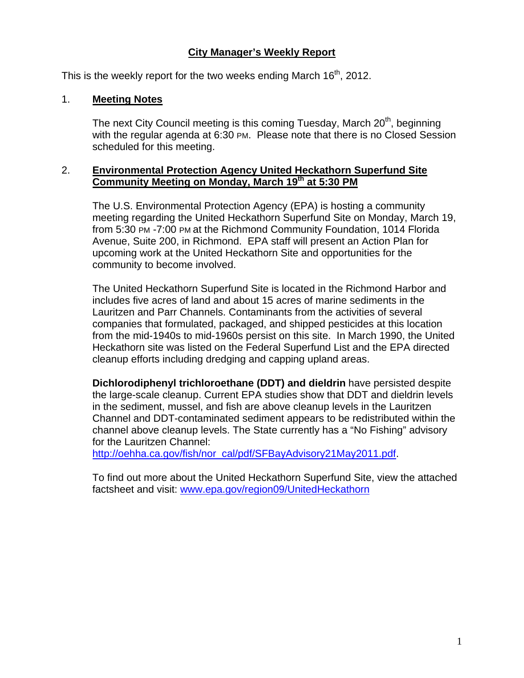## **City Manager's Weekly Report**

This is the weekly report for the two weeks ending March  $16<sup>th</sup>$ , 2012.

#### 1. **Meeting Notes**

The next City Council meeting is this coming Tuesday, March 20<sup>th</sup>, beginning with the regular agenda at 6:30 PM. Please note that there is no Closed Session scheduled for this meeting.

#### 2. **Environmental Protection Agency United Heckathorn Superfund Site**  Community Meeting on Monday, March 19<sup>th</sup> at 5:30 PM

The U.S. Environmental Protection Agency (EPA) is hosting a community meeting regarding the United Heckathorn Superfund Site on Monday, March 19, from 5:30 PM -7:00 PM at the Richmond Community Foundation, 1014 Florida Avenue, Suite 200, in Richmond. EPA staff will present an Action Plan for upcoming work at the United Heckathorn Site and opportunities for the community to become involved.

The United Heckathorn Superfund Site is located in the Richmond Harbor and includes five acres of land and about 15 acres of marine sediments in the Lauritzen and Parr Channels. Contaminants from the activities of several companies that formulated, packaged, and shipped pesticides at this location from the mid-1940s to mid-1960s persist on this site. In March 1990, the United Heckathorn site was listed on the Federal Superfund List and the EPA directed cleanup efforts including dredging and capping upland areas.

**Dichlorodiphenyl trichloroethane (DDT) and dieldrin** have persisted despite the large-scale cleanup. Current EPA studies show that DDT and dieldrin levels in the sediment, mussel, and fish are above cleanup levels in the Lauritzen Channel and DDT-contaminated sediment appears to be redistributed within the channel above cleanup levels. The State currently has a "No Fishing" advisory for the Lauritzen Channel:

http://oehha.ca.gov/fish/nor\_cal/pdf/SFBayAdvisory21May2011.pdf.

To find out more about the United Heckathorn Superfund Site, view the attached factsheet and visit: www.epa.gov/region09/UnitedHeckathorn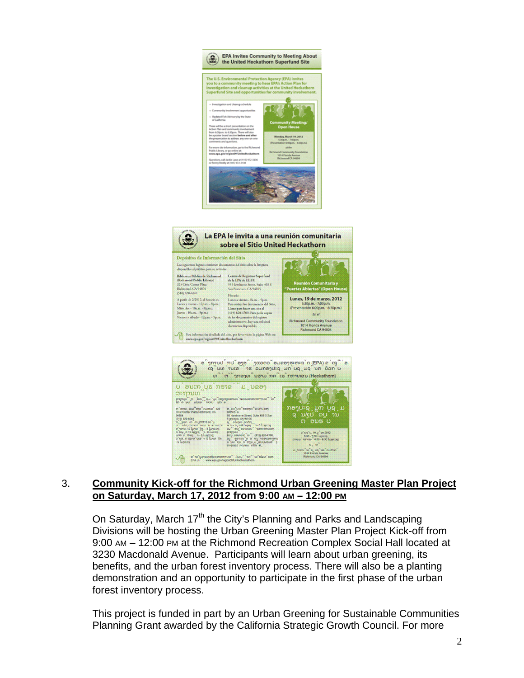

#### 3. **Community Kick-off for the Richmond Urban Greening Master Plan Project on Saturday, March 17, 2012 from 9:00 AM – 12:00 PM**

On Saturday, March 17<sup>th</sup> the City's Planning and Parks and Landscaping Divisions will be hosting the Urban Greening Master Plan Project Kick-off from 9:00 AM – 12:00 PM at the Richmond Recreation Complex Social Hall located at 3230 Macdonald Avenue. Participants will learn about urban greening, its benefits, and the urban forest inventory process. There will also be a planting demonstration and an opportunity to participate in the first phase of the urban forest inventory process.

This project is funded in part by an Urban Greening for Sustainable Communities Planning Grant awarded by the California Strategic Growth Council. For more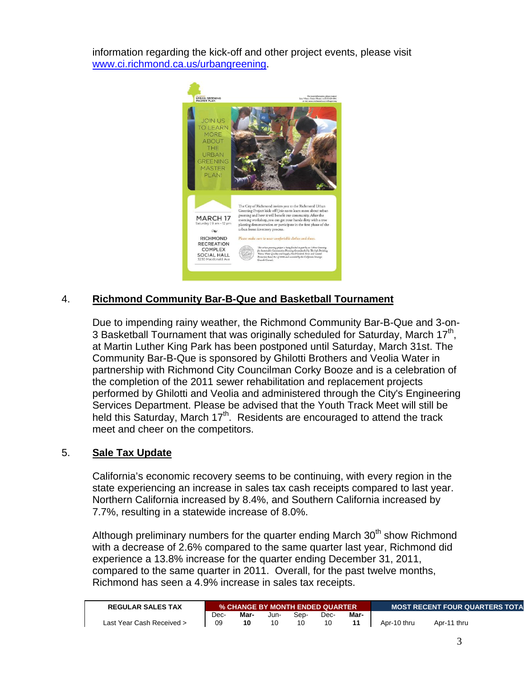information regarding the kick-off and other project events, please visit www.ci.richmond.ca.us/urbangreening.



# 4. **Richmond Community Bar-B-Que and Basketball Tournament**

Due to impending rainy weather, the Richmond Community Bar-B-Que and 3-on-3 Basketball Tournament that was originally scheduled for Saturday, March 17<sup>th</sup>, at Martin Luther King Park has been postponed until Saturday, March 31st. The Community Bar-B-Que is sponsored by Ghilotti Brothers and Veolia Water in partnership with Richmond City Councilman Corky Booze and is a celebration of the completion of the 2011 sewer rehabilitation and replacement projects performed by Ghilotti and Veolia and administered through the City's Engineering Services Department. Please be advised that the Youth Track Meet will still be held this Saturday, March  $17<sup>th</sup>$ . Residents are encouraged to attend the track meet and cheer on the competitors.

#### 5. **Sale Tax Update**

California's economic recovery seems to be continuing, with every region in the state experiencing an increase in sales tax cash receipts compared to last year. Northern California increased by 8.4%, and Southern California increased by 7.7%, resulting in a statewide increase of 8.0%.

Although preliminary numbers for the quarter ending March  $30<sup>th</sup>$  show Richmond with a decrease of 2.6% compared to the same quarter last year, Richmond did experience a 13.8% increase for the quarter ending December 31, 2011, compared to the same quarter in 2011. Overall, for the past twelve months, Richmond has seen a 4.9% increase in sales tax receipts.

| <b>REGULAR SALES TAX</b>  |      | % CHANGE BY MONTH ENDED QUARTER |      |      |      |      |             | <b>I MOST RECENT FOUR QUARTERS TOTA</b> |  |  |
|---------------------------|------|---------------------------------|------|------|------|------|-------------|-----------------------------------------|--|--|
|                           | Dec- | Mar-                            | Jun- | Sep- | Dec- | Mar- |             |                                         |  |  |
| Last Year Cash Received > | 09   | 10                              |      |      |      |      | Apr-10 thru | Apr-11 thru                             |  |  |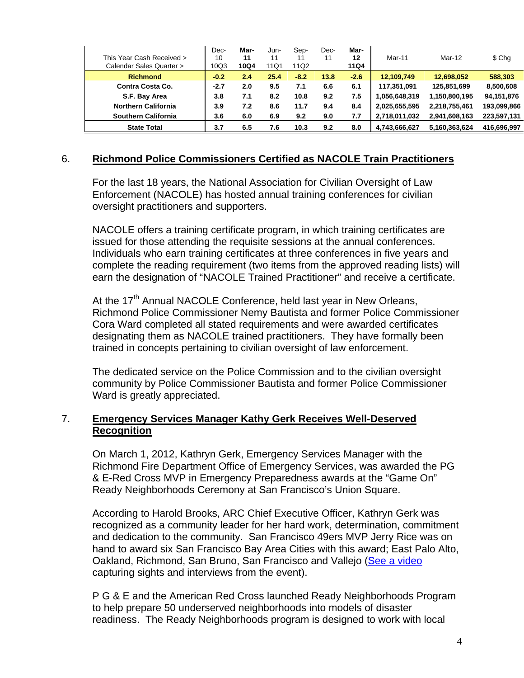| This Year Cash Received ><br>Calendar Sales Quarter > | Dec-<br>10<br>10Q3 | Mar-<br>11<br>10Q4 | Jun-<br>11<br>11Q1 | Sep-<br>11<br>11Q2 | Dec-<br>11 | Mar-<br>12<br><b>11Q4</b> | Mar-11        | Mar-12        | \$ Chg      |
|-------------------------------------------------------|--------------------|--------------------|--------------------|--------------------|------------|---------------------------|---------------|---------------|-------------|
| <b>Richmond</b>                                       | $-0.2$             | 2.4                | 25.4               | $-8.2$             | 13.8       | $-2.6$                    | 12.109.749    | 12,698,052    | 588,303     |
| Contra Costa Co.                                      | $-2.7$             | 2.0                | 9.5                | 7.1                | 6.6        | 6.1                       | 117,351,091   | 125,851,699   | 8,500,608   |
| S.F. Bay Area                                         | 3.8                | 7.1                | 8.2                | 10.8               | 9.2        | 7.5                       | 1,056,648,319 | 1,150,800,195 | 94,151,876  |
| <b>Northern California</b>                            | 3.9                | 7.2                | 8.6                | 11.7               | 9.4        | 8.4                       | 2,025,655,595 | 2.218.755.461 | 193,099,866 |
| <b>Southern California</b>                            | 3.6                | 6.0                | 6.9                | 9.2                | 9.0        | 7.7                       | 2,718,011,032 | 2,941,608,163 | 223,597,131 |
| <b>State Total</b>                                    | 3.7                | 6.5                | 7.6                | 10.3               | 9.2        | 8.0                       | 4.743.666.627 | 5.160.363.624 | 416.696.997 |

## 6. **Richmond Police Commissioners Certified as NACOLE Train Practitioners**

For the last 18 years, the National Association for Civilian Oversight of Law Enforcement (NACOLE) has hosted annual training conferences for civilian oversight practitioners and supporters.

NACOLE offers a training certificate program, in which training certificates are issued for those attending the requisite sessions at the annual conferences. Individuals who earn training certificates at three conferences in five years and complete the reading requirement (two items from the approved reading lists) will earn the designation of "NACOLE Trained Practitioner" and receive a certificate.

At the  $17<sup>th</sup>$  Annual NACOLE Conference, held last year in New Orleans, Richmond Police Commissioner Nemy Bautista and former Police Commissioner Cora Ward completed all stated requirements and were awarded certificates designating them as NACOLE trained practitioners. They have formally been trained in concepts pertaining to civilian oversight of law enforcement.

The dedicated service on the Police Commission and to the civilian oversight community by Police Commissioner Bautista and former Police Commissioner Ward is greatly appreciated.

## 7. **Emergency Services Manager Kathy Gerk Receives Well-Deserved Recognition**

On March 1, 2012, Kathryn Gerk, Emergency Services Manager with the Richmond Fire Department Office of Emergency Services, was awarded the PG & E-Red Cross MVP in Emergency Preparedness awards at the "Game On" Ready Neighborhoods Ceremony at San Francisco's Union Square.

According to Harold Brooks, ARC Chief Executive Officer, Kathryn Gerk was recognized as a community leader for her hard work, determination, commitment and dedication to the community. San Francisco 49ers MVP Jerry Rice was on hand to award six San Francisco Bay Area Cities with this award; East Palo Alto, Oakland, Richmond, San Bruno, San Francisco and Vallejo (See a video capturing sights and interviews from the event).

P G & E and the American Red Cross launched Ready Neighborhoods Program to help prepare 50 underserved neighborhoods into models of disaster readiness. The Ready Neighborhoods program is designed to work with local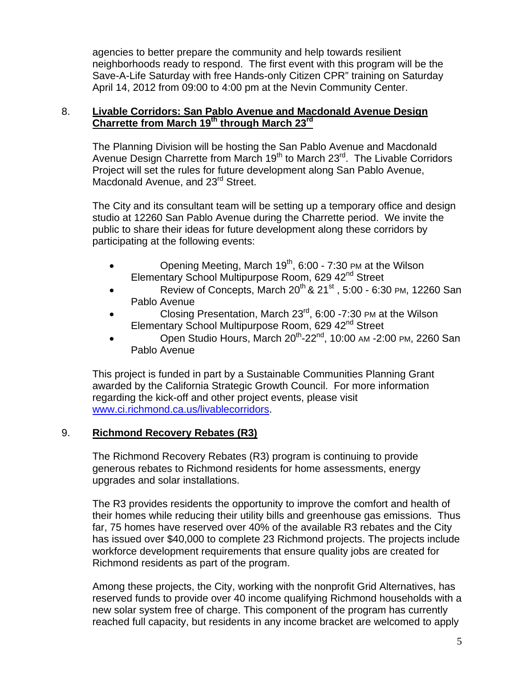agencies to better prepare the community and help towards resilient neighborhoods ready to respond. The first event with this program will be the Save-A-Life Saturday with free Hands-only Citizen CPR" training on Saturday April 14, 2012 from 09:00 to 4:00 pm at the Nevin Community Center.

#### 8. **Livable Corridors: San Pablo Avenue and Macdonald Avenue Design Charrette from March 19th through March 23rd**

The Planning Division will be hosting the San Pablo Avenue and Macdonald Avenue Design Charrette from March 19<sup>th</sup> to March 23<sup>rd</sup>. The Livable Corridors Project will set the rules for future development along San Pablo Avenue, Macdonald Avenue, and 23<sup>rd</sup> Street.

The City and its consultant team will be setting up a temporary office and design studio at 12260 San Pablo Avenue during the Charrette period. We invite the public to share their ideas for future development along these corridors by participating at the following events:

- Opening Meeting, March  $19<sup>th</sup>$ , 6:00 7:30 PM at the Wilson Elementary School Multipurpose Room, 629 42<sup>nd</sup> Street
- Review of Concepts, March  $20^{th}$  &  $21^{st}$ , 5:00 6:30 PM, 12260 San Pablo Avenue
- Closing Presentation, March 23<sup>rd</sup>, 6:00 -7:30 PM at the Wilson Elementary School Multipurpose Room, 629 42<sup>nd</sup> Street
- Open Studio Hours, March 20<sup>th</sup>-22<sup>nd</sup>, 10:00 AM -2:00 PM, 2260 San Pablo Avenue

This project is funded in part by a Sustainable Communities Planning Grant awarded by the California Strategic Growth Council. For more information regarding the kick-off and other project events, please visit www.ci.richmond.ca.us/livablecorridors.

## 9. **Richmond Recovery Rebates (R3)**

The Richmond Recovery Rebates (R3) program is continuing to provide generous rebates to Richmond residents for home assessments, energy upgrades and solar installations.

The R3 provides residents the opportunity to improve the comfort and health of their homes while reducing their utility bills and greenhouse gas emissions. Thus far, 75 homes have reserved over 40% of the available R3 rebates and the City has issued over \$40,000 to complete 23 Richmond projects. The projects include workforce development requirements that ensure quality jobs are created for Richmond residents as part of the program.

Among these projects, the City, working with the nonprofit Grid Alternatives, has reserved funds to provide over 40 income qualifying Richmond households with a new solar system free of charge. This component of the program has currently reached full capacity, but residents in any income bracket are welcomed to apply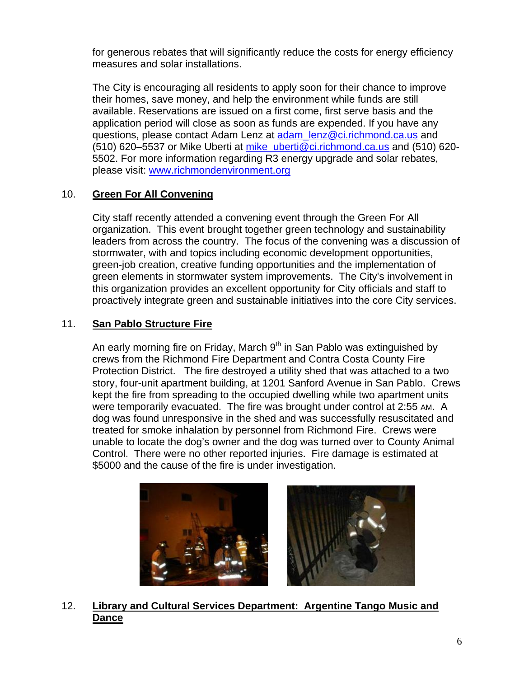for generous rebates that will significantly reduce the costs for energy efficiency measures and solar installations.

The City is encouraging all residents to apply soon for their chance to improve their homes, save money, and help the environment while funds are still available. Reservations are issued on a first come, first serve basis and the application period will close as soon as funds are expended. If you have any questions, please contact Adam Lenz at adam\_lenz@ci.richmond.ca.us and (510) 620–5537 or Mike Uberti at mike\_uberti@ci.richmond.ca.us and (510) 620- 5502. For more information regarding R3 energy upgrade and solar rebates, please visit: www.richmondenvironment.org

# 10. **Green For All Convening**

City staff recently attended a convening event through the Green For All organization. This event brought together green technology and sustainability leaders from across the country. The focus of the convening was a discussion of stormwater, with and topics including economic development opportunities, green-job creation, creative funding opportunities and the implementation of green elements in stormwater system improvements. The City's involvement in this organization provides an excellent opportunity for City officials and staff to proactively integrate green and sustainable initiatives into the core City services.

## 11. **San Pablo Structure Fire**

An early morning fire on Friday, March  $9<sup>th</sup>$  in San Pablo was extinguished by crews from the Richmond Fire Department and Contra Costa County Fire Protection District. The fire destroyed a utility shed that was attached to a two story, four-unit apartment building, at 1201 Sanford Avenue in San Pablo. Crews kept the fire from spreading to the occupied dwelling while two apartment units were temporarily evacuated. The fire was brought under control at 2:55 AM. A dog was found unresponsive in the shed and was successfully resuscitated and treated for smoke inhalation by personnel from Richmond Fire. Crews were unable to locate the dog's owner and the dog was turned over to County Animal Control. There were no other reported injuries. Fire damage is estimated at \$5000 and the cause of the fire is under investigation.



12. **Library and Cultural Services Department: Argentine Tango Music and Dance**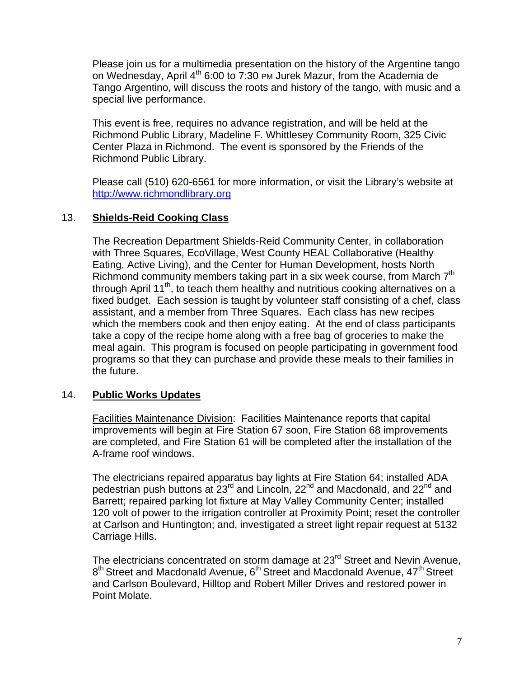Please join us for a multimedia presentation on the history of the Argentine tango on Wednesday, April  $4^{th}$  6:00 to 7:30 PM Jurek Mazur, from the Academia de Tango Argentino, will discuss the roots and history of the tango, with music and a special live performance.

This event is free, requires no advance registration, and will be held at the Richmond Public Library, Madeline F. Whittlesey Community Room, 325 Civic Center Plaza in Richmond. The event is sponsored by the Friends of the Richmond Public Library.

Please call (510) 620-6561 for more information, or visit the Library's website at http://www.richmondlibrary.org

## 13. **Shields-Reid Cooking Class**

The Recreation Department Shields-Reid Community Center, in collaboration with Three Squares, EcoVillage, West County HEAL Collaborative (Healthy Eating, Active Living), and the Center for Human Development, hosts North Richmond community members taking part in a six week course, from March 7<sup>th</sup> through April 11<sup>th</sup>, to teach them healthy and nutritious cooking alternatives on a fixed budget. Each session is taught by volunteer staff consisting of a chef, class assistant, and a member from Three Squares. Each class has new recipes which the members cook and then enjoy eating. At the end of class participants take a copy of the recipe home along with a free bag of groceries to make the meal again. This program is focused on people participating in government food programs so that they can purchase and provide these meals to their families in the future.

## 14. **Public Works Updates**

Facilities Maintenance Division: Facilities Maintenance reports that capital improvements will begin at Fire Station 67 soon, Fire Station 68 improvements are completed, and Fire Station 61 will be completed after the installation of the A-frame roof windows.

The electricians repaired apparatus bay lights at Fire Station 64; installed ADA pedestrian push buttons at 23<sup>rd</sup> and Lincoln, 22<sup>nd</sup> and Macdonald, and 22<sup>nd</sup> and Barrett; repaired parking lot fixture at May Valley Community Center; installed 120 volt of power to the irrigation controller at Proximity Point; reset the controller at Carlson and Huntington; and, investigated a street light repair request at 5132 Carriage Hills.

The electricians concentrated on storm damage at 23<sup>rd</sup> Street and Nevin Avenue, 8<sup>th</sup> Street and Macdonald Avenue, 6<sup>th</sup> Street and Macdonald Avenue, 47<sup>th</sup> Street and Carlson Boulevard, Hilltop and Robert Miller Drives and restored power in Point Molate.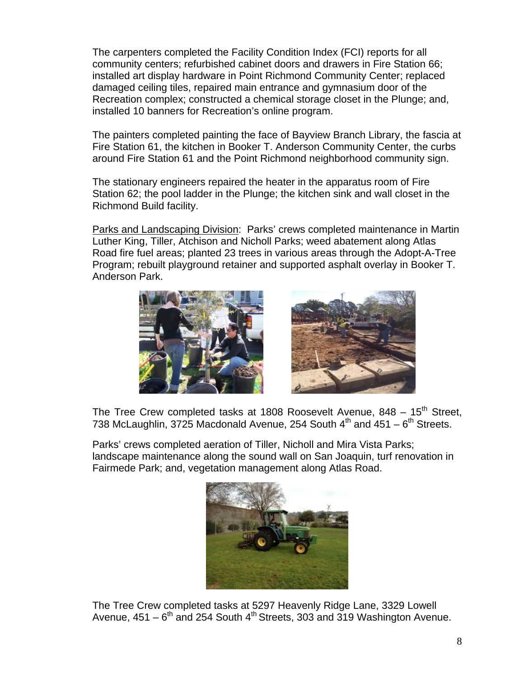The carpenters completed the Facility Condition Index (FCI) reports for all community centers; refurbished cabinet doors and drawers in Fire Station 66; installed art display hardware in Point Richmond Community Center; replaced damaged ceiling tiles, repaired main entrance and gymnasium door of the Recreation complex; constructed a chemical storage closet in the Plunge; and, installed 10 banners for Recreation's online program.

The painters completed painting the face of Bayview Branch Library, the fascia at Fire Station 61, the kitchen in Booker T. Anderson Community Center, the curbs around Fire Station 61 and the Point Richmond neighborhood community sign.

The stationary engineers repaired the heater in the apparatus room of Fire Station 62; the pool ladder in the Plunge; the kitchen sink and wall closet in the Richmond Build facility.

Parks and Landscaping Division: Parks' crews completed maintenance in Martin Luther King, Tiller, Atchison and Nicholl Parks; weed abatement along Atlas Road fire fuel areas; planted 23 trees in various areas through the Adopt-A-Tree Program; rebuilt playground retainer and supported asphalt overlay in Booker T. Anderson Park.





The Tree Crew completed tasks at 1808 Roosevelt Avenue,  $848 - 15$ <sup>th</sup> Street, 738 McLaughlin, 3725 Macdonald Avenue, 254 South  $4<sup>th</sup>$  and 451 –  $6<sup>th</sup>$  Streets.

Parks' crews completed aeration of Tiller, Nicholl and Mira Vista Parks; landscape maintenance along the sound wall on San Joaquin, turf renovation in Fairmede Park; and, vegetation management along Atlas Road.



The Tree Crew completed tasks at 5297 Heavenly Ridge Lane, 3329 Lowell Avenue,  $451 - 6^{th}$  and 254 South  $4^{th}$  Streets, 303 and 319 Washington Avenue.